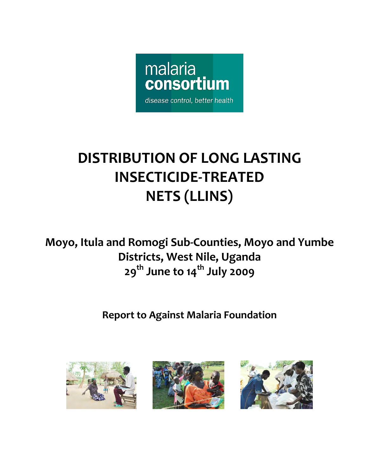

# **DISTRIBUTION OF LONG LASTING INSECTICIDE‐TREATED NETS (LLINS)**

**Moyo, Itula and Romogi Sub‐Counties, Moyo and Yumbe Districts, West Nile, Uganda 29th June to 14th July 2009**

# **Report to Against Malaria Foundation**





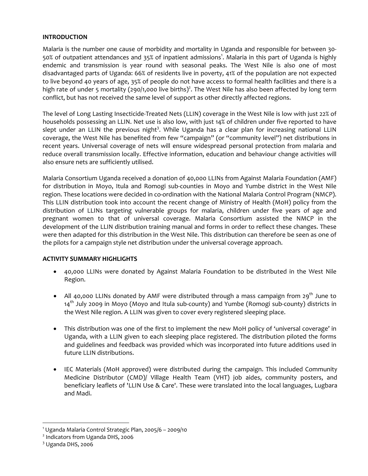#### **INTRODUCTION**

Malaria is the number one cause of morbidity and mortality in Uganda and responsible for between 30‐ 50% of outpatient attendances and 35% of inpatient admissions<sup>1</sup>. Malaria in this part of Uganda is highly endemic and transmission is year round with seasonal peaks. The West Nile is also one of most disadvantaged parts of Uganda: 66% of residents live in poverty, 41% of the population are not expected to live beyond 40 years of age, 35% of people do not have access to formal health facilities and there is a high rate of under 5 mortality (290/1,000 live births)<sup>2</sup>. The West Nile has also been affected by long term conflict, but has not received the same level of support as other directly affected regions.

The level of Long Lasting Insecticide‐Treated Nets (LLIN) coverage in the West Nile is low with just 22% of households possessing an LLIN. Net use is also low, with just 14% of children under five reported to have slept under an LLIN the previous night<sup>3</sup>. While Uganda has a clear plan for increasing national LLIN coverage, the West Nile has benefited from few "campaign" (or "community level") net distributions in recent years. Universal coverage of nets will ensure widespread personal protection from malaria and reduce overall transmission locally. Effective information, education and behaviour change activities will also ensure nets are sufficiently utilised.

Malaria Consortium Uganda received a donation of 40,000 LLINs from Against Malaria Foundation (AMF) for distribution in Moyo, Itula and Romogi sub‐counties in Moyo and Yumbe district in the West Nile region. These locations were decided in co-ordination with the National Malaria Control Program (NMCP). This LLIN distribution took into account the recent change of Ministry of Health (MoH) policy from the distribution of LLINs targeting vulnerable groups for malaria, children under five years of age and pregnant women to that of universal coverage. Malaria Consortium assisted the NMCP in the development of the LLIN distribution training manual and forms in order to reflect these changes. These were then adapted for this distribution in the West Nile. This distribution can therefore be seen as one of the pilots for a campaign style net distribution under the universal coverage approach.

#### **ACTIVITY SUMMARY HIGHLIGHTS**

- 40,000 LLINs were donated by Against Malaria Foundation to be distributed in the West Nile Region.
- All 40,000 LLINs donated by AMF were distributed through a mass campaign from 29<sup>th</sup> June to  $14<sup>th</sup>$  July 2009 in Moyo (Moyo and Itula sub-county) and Yumbe (Romogi sub-county) districts in the West Nile region. A LLIN was given to cover every registered sleeping place.
- This distribution was one of the first to implement the new MoH policy of 'universal coverage' in Uganda, with a LLIN given to each sleeping place registered. The distribution piloted the forms and guidelines and feedback was provided which was incorporated into future additions used in future LLIN distributions.
- IEC Materials (MoH approved) were distributed during the campaign. This included Community Medicine Distributor (CMD)/ Village Health Team (VHT) job aides, community posters, and beneficiary leaflets of 'LLIN Use & Care'. These were translated into the local languages, Lugbara and Madi.

 $\overline{a}$ 

<sup>1</sup> Uganda Malaria Control Strategic Plan, 2005/6 – 2009/10

<sup>2</sup> Indicators from Uganda DHS, 2006

 $3$  Uganda DHS, 2006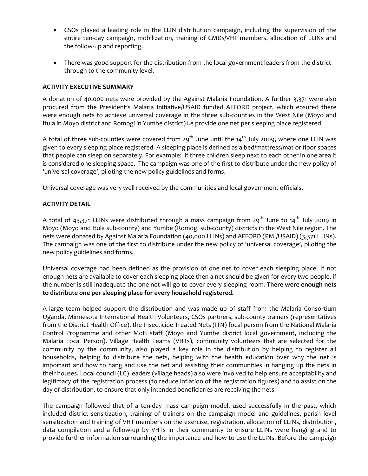- CSOs played a leading role in the LLIN distribution campaign, including the supervision of the entire ten‐day campaign, mobilization, training of CMDs/VHT members, allocation of LLINs and the follow‐up and reporting.
- There was good support for the distribution from the local government leaders from the district through to the community level.

### **ACTIVITY EXECUTIVE SUMMARY**

A donation of 40,000 nets were provided by the Against Malaria Foundation. A further 3,371 were also procured from the President's Malaria Initiative/USAID funded AFFORD project, which ensured there were enough nets to achieve universal coverage in the three sub-counties in the West Nile (Moyo and Itula in Moyo district and Romogi in Yumbe district) i.e provide one net per sleeping place registered.

A total of three sub-counties were covered from 29<sup>th</sup> June until the 14<sup>th</sup> July 2009, where one LLIN was given to every sleeping place registered. A sleeping place is defined as a bed/mattress/mat or floor spaces that people can sleep on separately. For example: if three children sleep next to each other in one area it is considered one sleeping space. The campaign was one of the first to distribute under the new policy of 'universal coverage', piloting the new policy guidelines and forms.

Universal coverage was very well received by the communities and local government officials.

### **ACTIVITY DETAIL**

A total of 43,371 LLINs were distributed through a mass campaign from  $29^{th}$  June to  $14^{th}$  July 2009 in Moyo (Moyo and Itula sub‐county) and Yumbe (Romogi sub‐county) districts in the West Nile region. The nets were donated by Against Malaria Foundation (40,000 LLINs) and AFFORD (PMI/USAID) (3,371 LLINs). The campaign was one of the first to distribute under the new policy of 'universal coverage', piloting the new policy guidelines and forms.

Universal coverage had been defined as the provision of one net to cover each sleeping place. If not enough nets are available to cover each sleeping place then a net should be given for every two people, if the number is still inadequate the one net will go to cover every sleeping room. **There were enough nets to distribute one per sleeping place for every household registered.**

A large team helped support the distribution and was made up of staff from the Malaria Consortium Uganda, Minnesota International Health Volunteers, CSOs partners, sub‐county trainers (representatives from the District Health Office), the Insecticide Treated Nets (ITN) focal person from the National Malaria Control Programme and other MoH staff (Moyo and Yumbe district local government, including the Malaria Focal Person). Village Health Teams (VHTs), community volunteers that are selected for the community by the community, also played a key role in the distribution by helping to register all households, helping to distribute the nets, helping with the health education over why the net is important and how to hang and use the net and assisting their communities in hanging up the nets in their houses. Local council (LC) leaders (village heads) also were involved to help ensure acceptability and legitimacy of the registration process (to reduce inflation of the registration figures) and to assist on the day of distribution, to ensure that only intended beneficiaries are receiving the nets.

The campaign followed that of a ten-day mass campaign model, used successfully in the past, which included district sensitization, training of trainers on the campaign model and guidelines, parish level sensitization and training of VHT members on the exercise, registration, allocation of LLINs, distribution, data compilation and a follow‐up by VHTs in their community to ensure LLINs were hanging and to provide further information surrounding the importance and how to use the LLINs. Before the campaign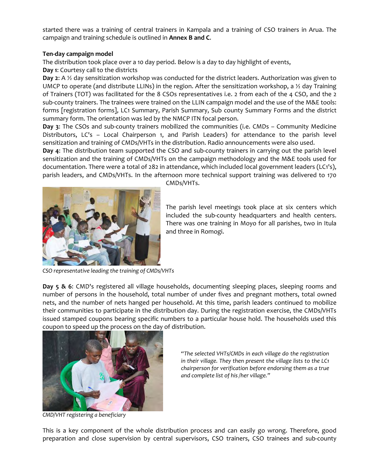started there was a training of central trainers in Kampala and a training of CSO trainers in Arua. The campaign and training schedule is outlined in **Annex B and C**.

### **Ten‐day campaign model**

The distribution took place over a 10 day period. Below is a day to day highlight of events,

**Day 1**: Courtesy call to the districts

**Day 2**: A ½ day sensitization workshop was conducted for the district leaders. Authorization was given to UMCP to operate (and distribute LLINs) in the region. After the sensitization workshop, a  $\frac{1}{2}$  day Training of Trainers (TOT) was facilitated for the 8 CSOs representatives i.e. 2 from each of the 4 CSO, and the 2 sub-county trainers. The trainees were trained on the LLIN campaign model and the use of the M&E tools: forms [registration forms], LC1 Summary, Parish Summary, Sub county Summary Forms and the district summary form. The orientation was led by the NMCP ITN focal person.

**Day 3**: The CSOs and sub‐county trainers mobilized the communities (i.e. CMDs – Community Medicine Distributors, LC's – Local Chairperson 1, and Parish Leaders) for attendance to the parish level sensitization and training of CMDs/VHTs in the distribution. Radio announcements were also used.

**Day 4**: The distribution team supported the CSO and sub‐county trainers in carrying out the parish level sensitization and the training of CMDs/VHTs on the campaign methodology and the M&E tools used for documentation. There were a total of 282 in attendance, which included local government leaders (LC1's), parish leaders, and CMDs/VHTs. In the afternoon more technical support training was delivered to 170



CMDs/VHTs.

The parish level meetings took place at six centers which included the sub‐county headquarters and health centers. There was one training in Moyo for all parishes, two in Itula and three in Romogi.

*CSO representative leading the training of CMDs/VHTs*

**Day 5 & 6**: CMD's registered all village households, documenting sleeping places, sleeping rooms and number of persons in the household, total number of under fives and pregnant mothers, total owned nets, and the number of nets hanged per household. At this time, parish leaders continued to mobilize their communities to participate in the distribution day. During the registration exercise, the CMDs/VHTs issued stamped coupons bearing specific numbers to a particular house hold. The households used this coupon to speed up the process on the day of distribution.



*"The selected VHTs/CMDs in each village do the registration in their village. They then present the village lists to the LC1 chairperson for verification before endorsing them as a true and complete list of his /her village."*

*CMD/VHT registering a beneficiary*

This is a key component of the whole distribution process and can easily go wrong. Therefore, good preparation and close supervision by central supervisors, CSO trainers, CSO trainees and sub‐county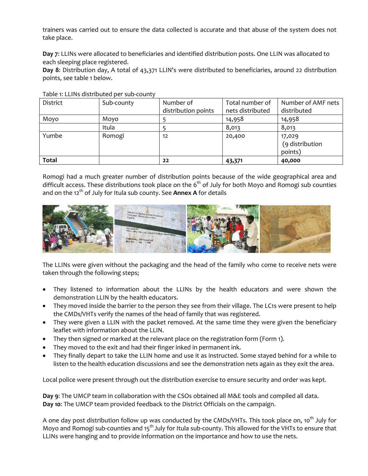trainers was carried out to ensure the data collected is accurate and that abuse of the system does not take place.

**Day 7**: LLINs were allocated to beneficiaries and identified distribution posts. One LLIN was allocated to each sleeping place registered.

**Day 8**: Distribution day, A total of 43,371 LLIN's were distributed to beneficiaries, around 22 distribution points, see table 1 below.

| District     | Sub-county | Number of           | Total number of  | Number of AMF nets                   |  |  |
|--------------|------------|---------------------|------------------|--------------------------------------|--|--|
|              |            | distribution points | nets distributed | distributed                          |  |  |
| Moyo         | Moyo       |                     | 14,958           | 14,958                               |  |  |
|              | Itula      |                     | 8,013            | 8,013                                |  |  |
| Yumbe        | Romogi     | 12                  | 20,400           | 17,029<br>(9 distribution<br>points) |  |  |
| <b>Total</b> |            | 22                  | 43,371           | 40,000                               |  |  |

Table 1: LLINs distributed per sub‐county

Romogi had a much greater number of distribution points because of the wide geographical area and difficult access. These distributions took place on the  $6<sup>th</sup>$  of July for both Moyo and Romogi sub counties and on the 12<sup>th</sup> of July for Itula sub county. See **Annex A** for details



The LLINs were given without the packaging and the head of the family who come to receive nets were taken through the following steps;

- They listened to information about the LLINs by the health educators and were shown the demonstration LLIN by the health educators.
- They moved inside the barrier to the person they see from their village. The LC1s were present to help the CMDs/VHTs verify the names of the head of family that was registered.
- They were given a LLIN with the packet removed. At the same time they were given the beneficiary leaflet with information about the LLIN.
- They then signed or marked at the relevant place on the registration form (Form 1).
- They moved to the exit and had their finger inked in permanent ink.
- They finally depart to take the LLIN home and use it as instructed. Some stayed behind for a while to listen to the health education discussions and see the demonstration nets again as they exit the area.

Local police were present through out the distribution exercise to ensure security and order was kept.

**Day 9**: The UMCP team in collaboration with the CSOs obtained all M&E tools and compiled all data. **Day 10**: The UMCP team provided feedback to the District Officials on the campaign.

A one day post distribution follow up was conducted by the CMDs/VHTs. This took place on, 10<sup>th</sup> July for Moyo and Romogi sub-counties and 15<sup>th</sup> July for Itula sub-county. This allowed for the VHTs to ensure that LLINs were hanging and to provide information on the importance and how to use the nets.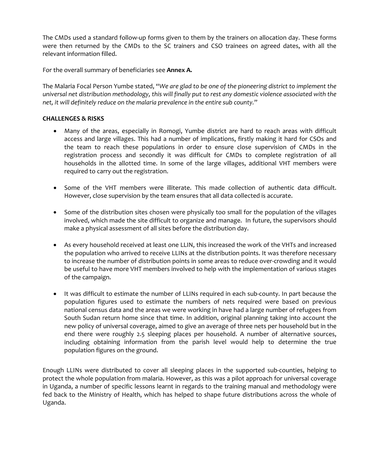The CMDs used a standard follow-up forms given to them by the trainers on allocation day. These forms were then returned by the CMDs to the SC trainers and CSO trainees on agreed dates, with all the relevant information filled.

For the overall summary of beneficiaries see **Annex A.** 

The Malaria Focal Person Yumbe stated, "*We are glad to be one of the pioneering district to implement the universal net distribution methodology, this will finally put to rest any domestic violence associated with the net, it will definitely reduce on the malaria prevalence in the entire sub county.*"

### **CHALLENGES & RISKS**

- Many of the areas, especially in Romogi, Yumbe district are hard to reach areas with difficult access and large villages. This had a number of implications, firstly making it hard for CSOs and the team to reach these populations in order to ensure close supervision of CMDs in the registration process and secondly it was difficult for CMDs to complete registration of all households in the allotted time. In some of the large villages, additional VHT members were required to carry out the registration.
- Some of the VHT members were illiterate. This made collection of authentic data difficult. However, close supervision by the team ensures that all data collected is accurate.
- Some of the distribution sites chosen were physically too small for the population of the villages involved, which made the site difficult to organize and manage. In future, the supervisors should make a physical assessment of all sites before the distribution day.
- As every household received at least one LLIN, this increased the work of the VHTs and increased the population who arrived to receive LLINs at the distribution points. It was therefore necessary to increase the number of distribution points in some areas to reduce over‐crowding and it would be useful to have more VHT members involved to help with the implementation of various stages of the campaign.
- It was difficult to estimate the number of LLINs required in each sub-county. In part because the population figures used to estimate the numbers of nets required were based on previous national census data and the areas we were working in have had a large number of refugees from South Sudan return home since that time. In addition, original planning taking into account the new policy of universal coverage, aimed to give an average of three nets per household but in the end there were roughly 2.5 sleeping places per household. A number of alternative sources, including obtaining information from the parish level would help to determine the true population figures on the ground.

Enough LLINs were distributed to cover all sleeping places in the supported sub‐counties, helping to protect the whole population from malaria. However, as this was a pilot approach for universal coverage in Uganda, a number of specific lessons learnt in regards to the training manual and methodology were fed back to the Ministry of Health, which has helped to shape future distributions across the whole of Uganda.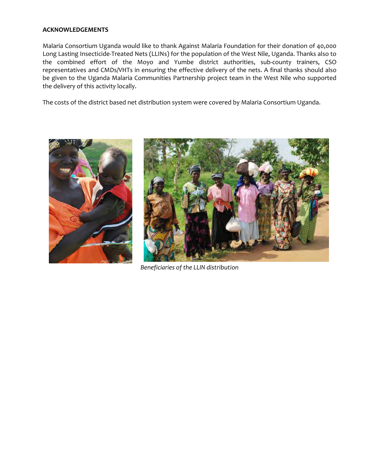#### **ACKNOWLEDGEMENTS**

Malaria Consortium Uganda would like to thank Against Malaria Foundation for their donation of 40,000 Long Lasting Insecticide‐Treated Nets (LLINs) for the population of the West Nile, Uganda. Thanks also to the combined effort of the Moyo and Yumbe district authorities, sub‐county trainers, CSO representatives and CMDs/VHTs in ensuring the effective delivery of the nets. A final thanks should also be given to the Uganda Malaria Communities Partnership project team in the West Nile who supported the delivery of this activity locally.

The costs of the district based net distribution system were covered by Malaria Consortium Uganda.





*Beneficiaries of the LLIN distribution*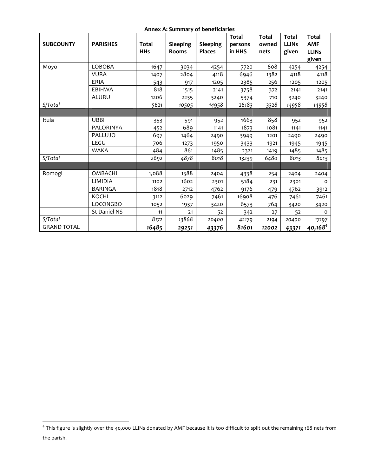#### **Annex A: Summary of beneficiaries**

| <b>SUBCOUNTY</b>   | <b>PARISHES</b> | <b>Total</b><br><b>HHs</b> | <b>Sleeping</b><br><b>Rooms</b> | <b>Sleeping</b><br><b>Places</b> | <b>Total</b><br>persons<br>in HHS | <b>Total</b><br>owned<br>nets | <b>Total</b><br><b>LLINs</b><br>given | <b>Total</b><br><b>AMF</b><br><b>LLINs</b><br>given |
|--------------------|-----------------|----------------------------|---------------------------------|----------------------------------|-----------------------------------|-------------------------------|---------------------------------------|-----------------------------------------------------|
| Moyo               | <b>LOBOBA</b>   | 1647                       | 3034                            | 4254                             | 7720                              | 608                           | 4254                                  | 4254                                                |
|                    | <b>VURA</b>     | 1407                       | 2804                            | 4118                             | 6946                              | 1382                          | 4118                                  | 4118                                                |
|                    | <b>ERIA</b>     | 543                        | 917                             | 1205                             | 2385                              | 256                           | 1205                                  | 1205                                                |
|                    | EBIHWA          | 818                        | 1515                            | 2141                             | 3758                              | 372                           | 2141                                  | 2141                                                |
|                    | ALURU           | 1206                       | 2235                            | 3240                             | 5374                              | 710                           | 3240                                  | 3240                                                |
| S/Total            |                 | 5621                       | 10505                           | 14958                            | 26183                             | 3328                          | 14958                                 | 14958                                               |
|                    |                 |                            |                                 |                                  |                                   |                               |                                       |                                                     |
| Itula              | <b>UBBI</b>     | 353                        | 591                             | 952                              | 1663                              | 858                           | 952                                   | 952                                                 |
|                    | PALORINYA       | 452                        | 689                             | 1141                             | 1873                              | 1081                          | 1141                                  | 1141                                                |
|                    | PALLUJO         | 697                        | 1464                            | 2490                             | 3949                              | 1201                          | 2490                                  | 2490                                                |
|                    | LEGU            | 706                        | 1273                            | 1950                             | 3433                              | 1921                          | 1945                                  | 1945                                                |
|                    | <b>WAKA</b>     | 484                        | 861                             | 1485                             | 2321                              | 1419                          | 1485                                  | 1485                                                |
| S/Total            |                 | 2692                       | 4878                            | 8018                             | 13239                             | 6480                          | 8013                                  | 8013                                                |
|                    |                 |                            |                                 |                                  |                                   |                               |                                       |                                                     |
| Romogi             | <b>OMBACHI</b>  | 1,088                      | 1588                            | 2404                             | 4338                              | 254                           | 2404                                  | 2404                                                |
|                    | LIMIDIA         | 1102                       | 1602                            | 2301                             | 5184                              | 231                           | 2301                                  | $\Omega$                                            |
|                    | BARINGA         | 1818                       | 2712                            | 4762                             | 9176                              | 479                           | 4762                                  | 3912                                                |
|                    | <b>KOCHI</b>    | 3112                       | 6029                            | 7461                             | 16908                             | 476                           | 7461                                  | 7461                                                |
|                    | LOCONGBO        | 1052                       | 1937                            | 3420                             | 6573                              | 764                           | 3420                                  | 3420                                                |
|                    | St Daniel NS    | 11                         | 21                              | 52                               | 342                               | 27                            | 52                                    | 0                                                   |
| S/Total            |                 | 8172                       | 13868                           | 20400                            | 42179                             | 2194                          | 20400                                 | 17197                                               |
| <b>GRAND TOTAL</b> |                 | 16485                      | 29251                           | 43376                            | 81601                             | 12002                         | 43371                                 | $40,168^{4}$                                        |

 $\overline{a}$ 

<sup>&</sup>lt;sup>4</sup> This figure is slightly over the 40,000 LLINs donated by AMF because it is too difficult to split out the remaining 168 nets from the parish.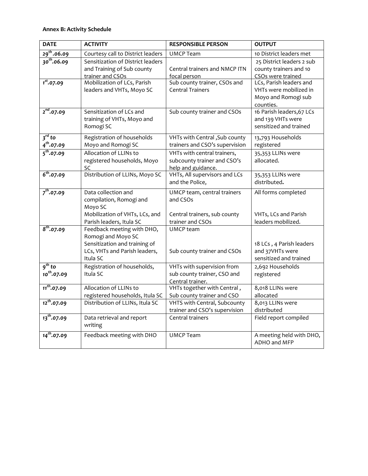| <b>DATE</b>                     | <b>ACTIVITY</b>                                                                                                                | <b>RESPONSIBLE PERSON</b>                                                        | <b>OUTPUT</b>                                                                         |
|---------------------------------|--------------------------------------------------------------------------------------------------------------------------------|----------------------------------------------------------------------------------|---------------------------------------------------------------------------------------|
| $29^{th}$ .06.09                | Courtesy call to District leaders                                                                                              | <b>UMCP Team</b>                                                                 | 10 District leaders met                                                               |
| $30^{th}$ .06.09                | Sensitization of District leaders<br>and Training of Sub county<br>trainer and CSOs                                            | Central trainers and NMCP ITN<br>focal person                                    | 25 District leaders 2 sub<br>county trainers and 10<br>CSOs were trained              |
| $1^{st}$ .07.09                 | Mobilization of LCs, Parish<br>leaders and VHTs, Moyo SC                                                                       | Sub county trainer, CSOs and<br><b>Central Trainers</b>                          | LCs, Parish leaders and<br>VHTs were mobilized in<br>Moyo and Romogi sub<br>counties. |
| $\frac{1}{2^{nd}$ ,07.09        | Sensitization of LCs and<br>training of VHTs, Moyo and<br>Romogi SC                                                            | Sub county trainer and CSOs                                                      | 16 Parish leaders, 67 LCs<br>and 139 VHTs were<br>sensitized and trained              |
| $3^{rd}$ to<br>$4^{th}$ .07.09  | Registration of households<br>Moyo and Romogi SC                                                                               | VHTs with Central, Sub county<br>trainers and CSO's supervision                  | 13,793 Households<br>registered                                                       |
| $5^{th}$ .07.09                 | Allocation of LLINs to<br>registered households, Moyo<br>SC                                                                    | VHTs with central trainers,<br>subcounty trainer and CSO's<br>help and guidance. | 35,353 LLINs were<br>allocated.                                                       |
| $6^{th}$ .07.09                 | Distribution of LLINs, Moyo SC                                                                                                 | VHTs, All supervisors and LCs<br>and the Police,                                 | 35,353 LLINs were<br>distributed.                                                     |
| $7^{th}$ .07.09                 | Data collection and<br>compilation, Romogi and<br>Moyo SC                                                                      | UMCP team, central trainers<br>and CSOs                                          | All forms completed                                                                   |
|                                 | Mobilization of VHTs, LCs, and<br>Parish leaders, Itula SC                                                                     | Central trainers, sub county<br>trainer and CSOs                                 | VHTs, LCs and Parish<br>leaders mobilized.                                            |
| $8^{th}$ .07.09                 | Feedback meeting with DHO,<br>Romogi and Moyo SC<br>Sensitization and training of<br>LCs, VHTs and Parish leaders,<br>Itula SC | UMCP team<br>Sub county trainer and CSOs                                         | 18 LCs, 4 Parish leaders<br>and 37VHTs were<br>sensitized and trained                 |
| $9^{th}$ to<br>$10^{th}$ .07.09 | Registration of households,<br>Itula SC                                                                                        | VHTs with supervision from<br>sub county trainer, CSO and<br>Central trainer.    | 2,692 Households<br>registered                                                        |
| $11^{th}$ .07.09                | Allocation of LLINs to<br>registered households, Itula SC                                                                      | VHTs together with Central,<br>Sub county trainer and CSO                        | 8,018 LLINs were<br>allocated                                                         |
| $12^{th}$ .07.09                | Distribution of LLINs, Itula SC                                                                                                | VHTS with Central, Subcounty<br>trainer and CSO's supervision                    | 8,013 LLINs were<br>distributed                                                       |
| $13^{th}$ .07.09                | Data retrieval and report<br>writing                                                                                           | Central trainers                                                                 | Field report compiled                                                                 |
| $14^{th}$ .07.09                | Feedback meeting with DHO                                                                                                      | <b>UMCP Team</b>                                                                 | A meeting held with DHO,<br>ADHO and MFP                                              |